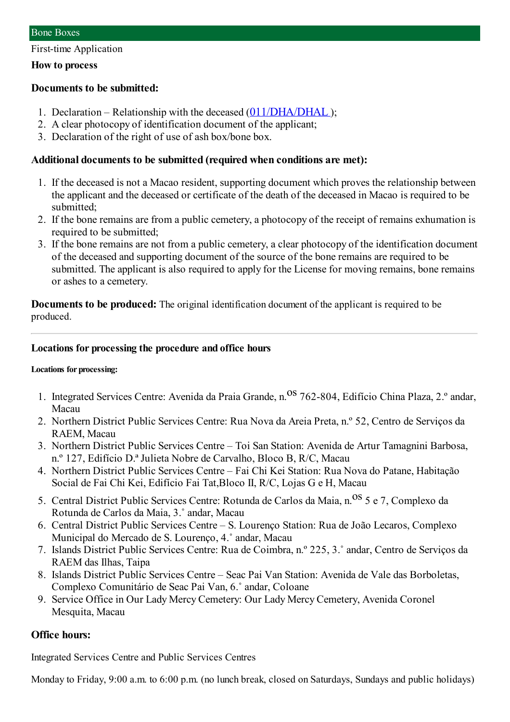First-time Application

#### **How to process**

### **Documents to be submitted:**

- 1. Declaration Relationship with the deceased ([011/DHA/DHAL](https://www.iam.gov.mo/c/pdf/eformDetail/PDF357) );
- 2. A clear photocopy of identification document of the applicant;
- 3. Declaration of the right of use of ash box/bone box.

## **Additional documents to be submitted (required when conditions are met):**

- 1. If the deceased is not a Macao resident, supporting document which proves the relationship between the applicant and the deceased or certificate of the death of the deceased in Macao is required to be submitted;
- 2. If the bone remains are from a public cemetery, a photocopy of the receipt of remains exhumation is required to be submitted;
- 3. If the bone remains are not from a public cemetery, a clear photocopy of the identification document of the deceased and supporting document of the source of the bone remains are required to be submitted. The applicant is also required to apply for the License for moving remains, bone remains or ashes to a cemetery.

**Documents to be produced:** The original identification document of the applicant is required to be produced.

### **Locations for processing the procedure and office hours**

#### **Locations for processing:**

- 1. Integrated Services Centre: Avenida da Praia Grande, n.<sup>0S</sup> 762-804, Edifício China Plaza, 2.º andar, Macau
- 2. Northern District Public Services Centre: Rua Nova da Areia Preta, n.º 52, Centro de Serviços da RAEM, Macau
- 3. Northern District Public Services Centre Toi San Station: Avenida de Artur Tamagnini Barbosa, n.º 127, Edifício D.ª Julieta Nobre de Carvalho, Bloco B, R/C, Macau
- 4. Northern District Public Services Centre Fai Chi Kei Station: Rua Nova do Patane, Habitação Social de Fai Chi Kei, Edifício Fai Tat,Bloco II, R/C, Lojas G e H, Macau
- 5. Central District Public Services Centre: Rotunda de Carlos da Maia, n. <sup>OS</sup> 5 e 7, Complexo da Rotunda de Carlos da Maia, 3.˚ andar, Macau
- 6. Central District Public Services Centre S. Lourenço Station: Rua de João Lecaros, Complexo Municipal do Mercado de S. Lourenço, 4.˚ andar, Macau
- 7. Islands District Public Services Centre: Rua de Coimbra, n.º 225, 3.˚ andar, Centro de Serviços da RAEM das Ilhas, Taipa
- 8. Islands District Public Services Centre Seac Pai Van Station: Avenida de Vale das Borboletas, Complexo Comunitário de Seac Pai Van, 6.˚ andar, Coloane
- 9. Service Office in Our Lady Mercy Cemetery: Our Lady Mercy Cemetery, Avenida Coronel Mesquita, Macau

# **Office hours:**

Integrated Services Centre and Public Services Centres

Monday to Friday, 9:00 a.m. to 6:00 p.m. (no lunch break, closed on Saturdays, Sundays and public holidays)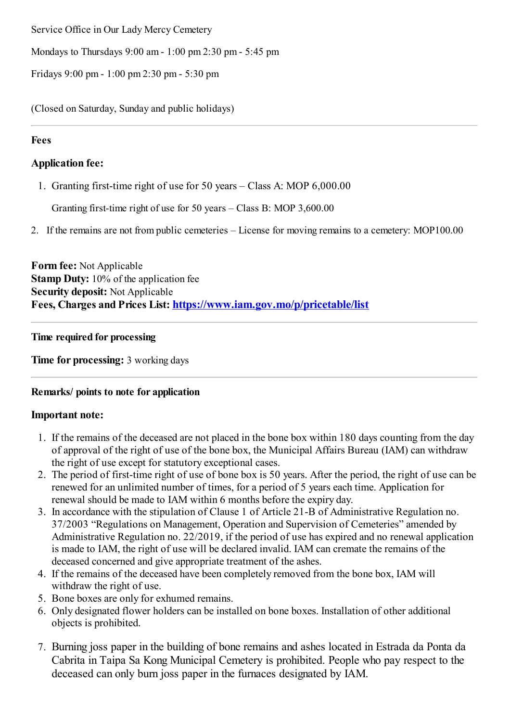Service Office in Our Lady Mercy Cemetery

Mondays to Thursdays 9:00 am- 1:00 pm2:30 pm- 5:45 pm

Fridays 9:00 pm- 1:00 pm2:30 pm- 5:30 pm

(Closed on Saturday, Sunday and public holidays)

### **Fees**

## **Application fee:**

1. Granting first-time right of use for 50 years – Class A: MOP 6,000.00

Granting first-time right of use for 50 years – Class B: MOP 3,600.00

2. If the remains are not frompublic cemeteries – License for moving remains to a cemetery: MOP100.00

**Form fee:** Not Applicable **Stamp Duty:** 10% of the application fee **Security deposit:** Not Applicable **Fees, Charges and Prices List: <https://www.iam.gov.mo/p/pricetable/list>**

**Time required for processing**

**Time for processing:** 3 working days

# **Remarks/ points to note for application**

### **Important note:**

- 1. If the remains of the deceased are not placed in the bone box within 180 days counting from the day of approval of the right of use of the bone box, the Municipal Affairs Bureau (IAM) can withdraw the right of use except for statutory exceptional cases.
- 2. The period of first-time right of use of bone box is 50 years. After the period, the right of use can be renewed for an unlimited number of times, for a period of 5 years each time. Application for renewal should be made to IAM within 6 months before the expiry day.
- 3. In accordance with the stipulation of Clause 1 of Article 21-B of Administrative Regulation no. 37/2003 "Regulations on Management, Operation and Supervision of Cemeteries" amended by Administrative Regulation no. 22/2019, if the period of use has expired and no renewal application is made to IAM, the right of use will be declared invalid. IAM can cremate the remains of the deceased concerned and give appropriate treatment of the ashes.
- 4. If the remains of the deceased have been completely removed from the bone box, IAM will withdraw the right of use.
- 5. Bone boxes are only for exhumed remains.
- 6. Only designated flower holders can be installed on bone boxes. Installation of other additional objects is prohibited.
- 7. Burning joss paper in the building of bone remains and ashes located in Estrada da Ponta da Cabrita in Taipa Sa Kong Municipal Cemetery is prohibited. People who pay respect to the deceased can only burn joss paper in the furnaces designated by IAM.